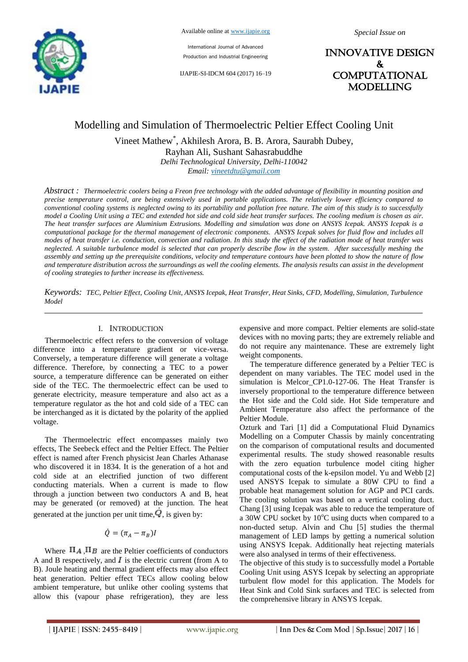

International Journal of Advanced Production and Industrial Engineering

IJAPIE-SI-IDCM 604 (2017) 16–19

INNOVATIVE DESIGN & **COMPUTATIONAL** MODELLING

# Modelling and Simulation of Thermoelectric Peltier Effect Cooling Unit

Vineet Mathew\* , Akhilesh Arora, B. B. Arora, Saurabh Dubey,

Rayhan Ali, Sushant Sahasrabuddhe

*Delhi Technological University, Delhi-110042*

*Email: vineetdtu@gmail.com*

*Abstract : Thermoelectric coolers being a Freon free technology with the added advantage of flexibility in mounting position and precise temperature control, are being extensively used in portable applications. The relatively lower efficiency compared to conventional cooling systems is neglected owing to its portability and pollution free nature. The aim of this study is to successfully model a Cooling Unit using a TEC and extended hot side and cold side heat transfer surfaces. The cooling medium is chosen as air. The heat transfer surfaces are Aluminium Extrusions. Modelling and simulation was done on ANSYS Icepak. ANSYS Icepak is a computational package for the thermal management of electronic components. ANSYS Icepak solves for fluid flow and includes all modes of heat transfer i.e. conduction, convection and radiation. In this study the effect of the radiation mode of heat transfer was neglected. A suitable turbulence model is selected that can properly describe flow in the system. After successfully meshing the assembly and setting up the prerequisite conditions, velocity and temperature contours have been plotted to show the nature of flow and temperature distribution across the surroundings as well the cooling elements. The analysis results can assist in the development of cooling strategies to further increase its effectiveness.* 

*Keywords: TEC, Peltier Effect, Cooling Unit, ANSYS Icepak, Heat Transfer, Heat Sinks, CFD, Modelling, Simulation, Turbulence Model*

### I. INTRODUCTION

Thermoelectric effect refers to the conversion of voltage difference into a temperature gradient or vice-versa. Conversely, a temperature difference will generate a voltage difference. Therefore, by connecting a TEC to a power source, a temperature difference can be generated on either side of the TEC. The thermoelectric effect can be used to generate electricity, measure temperature and also act as a temperature regulator as the hot and cold side of a TEC can be interchanged as it is dictated by the polarity of the applied voltage.

The Thermoelectric effect encompasses mainly two effects, The Seebeck effect and the Peltier Effect. The Peltier effect is named after French physicist Jean Charles Athanase who discovered it in 1834. It is the generation of a hot and cold side at an electrified junction of two different conducting materials. When a current is made to flow through a junction between two conductors A and B, heat may be generated (or removed) at the junction. The heat generated at the junction per unit time,  $\dot{Q}$ , is given by:

# $\dot{Q} = (\pi_A - \pi_B)I$

Where  $\Pi_A$ ,  $\Pi_B$  are the Peltier coefficients of conductors A and B respectively, and  $\vec{I}$  is the electric current (from A to B). Joule heating and thermal gradient effects may also effect heat generation. Peltier effect TECs allow cooling below ambient temperature, but unlike other cooling systems that allow this (vapour phase refrigeration), they are less expensive and more compact. Peltier elements are solid-state devices with no moving parts; they are extremely reliable and do not require any maintenance. These are extremely light weight components.

The temperature difference generated by a Peltier TEC is dependent on many variables. The TEC model used in the simulation is Melcor\_CP1.0-127-06. The Heat Transfer is inversely proportional to the temperature difference between the Hot side and the Cold side. Hot Side temperature and Ambient Temperature also affect the performance of the Peltier Module.

Ozturk and Tari [1] did a Computational Fluid Dynamics Modelling on a Computer Chassis by mainly concentrating on the comparison of computational results and documented experimental results. The study showed reasonable results with the zero equation turbulence model citing higher computational costs of the k-epsilon model. Yu and Webb [2] used ANSYS Icepak to simulate a 80W CPU to find a probable heat management solution for AGP and PCI cards. The cooling solution was based on a vertical cooling duct. Chang [3] using Icepak was able to reduce the temperature of a 30W CPU socket by  $10^{\circ}$ C using ducts when compared to a non-ducted setup. Alvin and Chu [5] studies the thermal management of LED lamps by getting a numerical solution using ANSYS Icepak. Additionally heat rejecting materials were also analysed in terms of their effectiveness.

The objective of this study is to successfully model a Portable Cooling Unit using ASYS Icepak by selecting an appropriate turbulent flow model for this application. The Models for Heat Sink and Cold Sink surfaces and TEC is selected from the comprehensive library in ANSYS Icepak.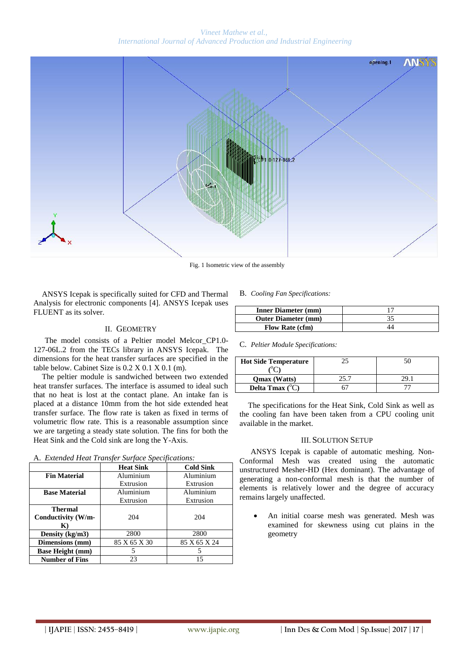*Vineet Mathew et al., International Journal of Advanced Production and Industrial Engineering*



Fig. 1 Isometric view of the assembly

ANSYS Icepak is specifically suited for CFD and Thermal Analysis for electronic components [4]. ANSYS Icepak uses FLUENT as its solver.

# II. GEOMETRY

The model consists of a Peltier model Melcor\_CP1.0- 127-06L.2 from the TECs library in ANSYS Icepak. The dimensions for the heat transfer surfaces are specified in the table below. Cabinet Size is 0.2 X 0.1 X 0.1 (m).

The peltier module is sandwiched between two extended heat transfer surfaces. The interface is assumed to ideal such that no heat is lost at the contact plane. An intake fan is placed at a distance 10mm from the hot side extended heat transfer surface. The flow rate is taken as fixed in terms of volumetric flow rate. This is a reasonable assumption since we are targeting a steady state solution. The fins for both the Heat Sink and the Cold sink are long the Y-Axis.

| A. Extended Heat Transfer Surface Specifications: |  |  |  |
|---------------------------------------------------|--|--|--|
|                                                   |  |  |  |

|                         | <b>Heat Sink</b> | <b>Cold Sink</b> |  |
|-------------------------|------------------|------------------|--|
| <b>Fin Material</b>     | Aluminium        | Aluminium        |  |
|                         | Extrusion        | Extrusion        |  |
| <b>Base Material</b>    | Aluminium        | Aluminium        |  |
|                         | Extrusion        | Extrusion        |  |
| Thermal                 |                  |                  |  |
| Conductivity (W/m-      | 204              | 204              |  |
| $\mathbf{K}$            |                  |                  |  |
| Density $(kg/m3)$       | 2800             | 2800             |  |
| Dimensions (mm)         | 85 X 65 X 30     | 85 X 65 X 24     |  |
| <b>Base Height (mm)</b> |                  |                  |  |
| <b>Number of Fins</b>   | 23               | 15               |  |

#### B. *Cooling Fan Specifications:*

| <b>Inner Diameter (mm)</b> |  |
|----------------------------|--|
| <b>Outer Diameter (mm)</b> |  |
| <b>Flow Rate (cfm)</b>     |  |

C. *Peltier Module Specifications:*

| <b>Hot Side Temperature</b> |  |  |
|-----------------------------|--|--|
|                             |  |  |
| <b>Omax</b> (Watts)         |  |  |
| Delta Tmax $(^{\circ}C)$    |  |  |

The specifications for the Heat Sink, Cold Sink as well as the cooling fan have been taken from a CPU cooling unit available in the market.

### III. SOLUTION SETUP

ANSYS Icepak is capable of automatic meshing. Non-Conformal Mesh was created using the automatic unstructured Mesher-HD (Hex dominant). The advantage of generating a non-conformal mesh is that the number of elements is relatively lower and the degree of accuracy remains largely unaffected.

 An initial coarse mesh was generated. Mesh was examined for skewness using cut plains in the geometry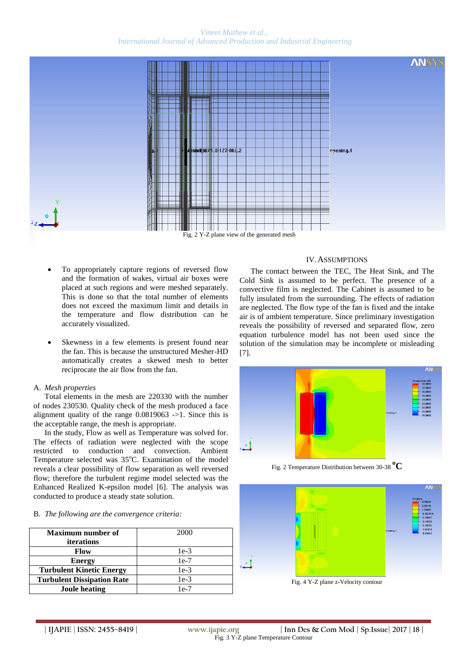# *Vineet Mathew et al., International Journal of Advanced Production and Industrial Engineering*



Fig. 2 Y-Z plane view of the generated mesh

- To appropriately capture regions of reversed flow and the formation of wakes, virtual air boxes were placed at such regions and were meshed separately. This is done so that the total number of elements does not exceed the maximum limit and details in the temperature and flow distribution can be accurately visualized.
- Skewness in a few elements is present found near the fan. This is because the unstructured Mesher-HD automatically creates a skewed mesh to better reciprocate the air flow from the fan.

# A. *Mesh properties*

Total elements in the mesh are 220330 with the number of nodes 230530. Quality check of the mesh produced a face alignment quality of the range 0.0819063 ->1. Since this is the acceptable range, the mesh is appropriate.

In the study, Flow as well as Temperature was solved for. The effects of radiation were neglected with the scope restricted to conduction and convection. Ambient Temperature selected was  $35^{\circ}$ C. Examination of the model reveals a clear possibility of flow separation as well reversed flow; therefore the turbulent regime model selected was the Enhanced Realized K-epsilon model [6]. The analysis was conducted to produce a steady state solution.

# B. *The following are the convergence criteria:*

| <b>Maximum number of</b>          | 2000   |  |
|-----------------------------------|--------|--|
| <i>iterations</i>                 |        |  |
| Flow                              | $1e-3$ |  |
| <b>Energy</b>                     | $1e-7$ |  |
| <b>Turbulent Kinetic Energy</b>   | $1e-3$ |  |
| <b>Turbulent Dissipation Rate</b> | $1e-3$ |  |
| Joule heating                     | $1e-7$ |  |

# IV.ASSUMPTIONS

The contact between the TEC, The Heat Sink, and The Cold Sink is assumed to be perfect. The presence of a convective film is neglected. The Cabinet is assumed to be fully insulated from the surrounding. The effects of radiation are neglected. The flow type of the fan is fixed and the intake air is of ambient temperature. Since preliminary investigation reveals the possibility of reversed and separated flow, zero equation turbulence model has not been used since the solution of the simulation may be incomplete or misleading [7].



Fig. 2 Temperature Distribution between 30-38 **oC**



Fig. 4 Y-Z plane z-Velocity contour